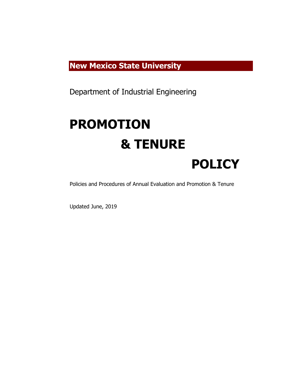# **New Mexico State University**

Department of Industrial Engineering

# **PROMOTION & TENURE POLICY**

Policies and Procedures of Annual Evaluation and Promotion & Tenure

Updated June, 2019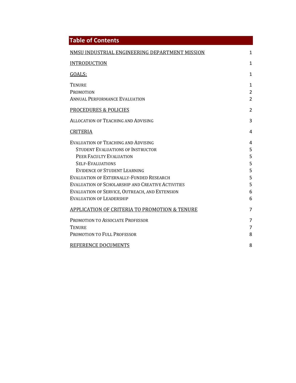| <b>Table of Contents</b>                                                                                                                                                                                                                                                                                                                                                                                                       |                                                  |
|--------------------------------------------------------------------------------------------------------------------------------------------------------------------------------------------------------------------------------------------------------------------------------------------------------------------------------------------------------------------------------------------------------------------------------|--------------------------------------------------|
| NMSU INDUSTRIAL ENGINEERING DEPARTMENT MISSION                                                                                                                                                                                                                                                                                                                                                                                 | 1                                                |
| <b>INTRODUCTION</b>                                                                                                                                                                                                                                                                                                                                                                                                            | $\mathbf{1}$                                     |
| GOALS:                                                                                                                                                                                                                                                                                                                                                                                                                         | 1                                                |
| <b>TENURE</b><br>PROMOTION<br><b>ANNUAL PERFORMANCE EVALUATION</b>                                                                                                                                                                                                                                                                                                                                                             | $\mathbf{1}$<br>$\overline{2}$<br>$\overline{2}$ |
| <b>PROCEDURES &amp; POLICIES</b>                                                                                                                                                                                                                                                                                                                                                                                               | $\overline{2}$                                   |
| <b>ALLOCATION OF TEACHING AND ADVISING</b>                                                                                                                                                                                                                                                                                                                                                                                     | 3                                                |
| <b>CRITERIA</b>                                                                                                                                                                                                                                                                                                                                                                                                                | 4                                                |
| EVALUATION OF TEACHING AND ADVISING<br><b>STUDENT EVALUATIONS OF INSTRUCTOR</b><br>PEER FACULTY EVALUATION<br><b>SELF-EVALUATIONS</b><br><b>EVIDENCE OF STUDENT LEARNING</b><br>EVALUATION OF EXTERNALLY-FUNDED RESEARCH<br>EVALUATION OF SCHOLARSHIP AND CREATIVE ACTIVITIES<br>EVALUATION OF SERVICE, OUTREACH, AND EXTENSION<br><b>EVALUATION OF LEADERSHIP</b><br><b>APPLICATION OF CRITERIA TO PROMOTION &amp; TENURE</b> | 4<br>5<br>5<br>5<br>5<br>5<br>5<br>6<br>6<br>7   |
| PROMOTION TO ASSOCIATE PROFESSOR<br><b>TENURE</b><br>PROMOTION TO FULL PROFESSOR<br>REFERENCE DOCUMENTS                                                                                                                                                                                                                                                                                                                        | 7<br>$\overline{7}$<br>8<br>8                    |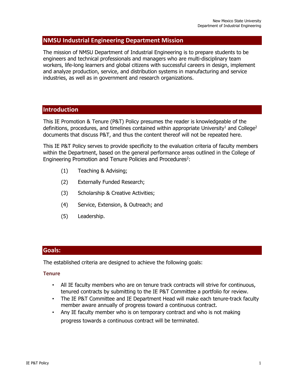# **NMSU Industrial Engineering Department Mission**

The mission of NMSU Department of Industrial Engineering is to prepare students to be engineers and technical professionals and managers who are multi-disciplinary team workers, life-long learners and global citizens with successful careers in design, implement and analyze production, service, and distribution systems in manufacturing and service industries, as well as in government and research organizations.

# **Introduction**

This IE Promotion & Tenure (P&T) Policy presumes the reader is knowledgeable of the definitions, procedures, and timelines contained within appropriate University<sup>1</sup> and College<sup>2</sup> documents that discuss P&T, and thus the content thereof will not be repeated here.

This IE P&T Policy serves to provide specificity to the evaluation criteria of faculty members within the Department, based on the general performance areas outlined in the College of Engineering Promotion and Tenure Policies and Procedures<sup>2</sup>:

- (1) Teaching & Advising;
- (2) Externally Funded Research;
- (3) Scholarship & Creative Activities;
- (4) Service, Extension, & Outreach; and
- (5) Leadership.

# **Goals:**

The established criteria are designed to achieve the following goals:

#### **Tenure**

- All IE faculty members who are on tenure track contracts will strive for continuous, tenured contracts by submitting to the IE P&T Committee a portfolio for review.
- The IE P&T Committee and IE Department Head will make each tenure-track faculty member aware annually of progress toward a continuous contract.
- Any IE faculty member who is on temporary contract and who is not making progress towards a continuous contract will be terminated.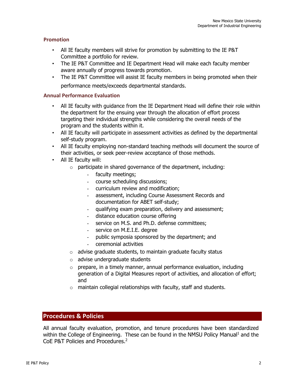#### **Promotion**

- All IE faculty members will strive for promotion by submitting to the IE P&T Committee a portfolio for review.
- The IE P&T Committee and IE Department Head will make each faculty member aware annually of progress towards promotion.
- The IE P&T Committee will assist IE faculty members in being promoted when their performance meets/exceeds departmental standards.

#### **Annual Performance Evaluation**

- All IE faculty with guidance from the IE Department Head will define their role within the department for the ensuing year through the allocation of effort process targeting their individual strengths while considering the overall needs of the program and the students within it.
- All IE faculty will participate in assessment activities as defined by the departmental self-study program.
- All IE faculty employing non-standard teaching methods will document the source of their activities, or seek peer-review acceptance of those methods.
- All IE faculty will:
	- $\circ$  participate in shared governance of the department, including:
		- faculty meetings;
		- course scheduling discussions;
		- curriculum review and modification;
		- assessment, including Course Assessment Records and documentation for ABET self-study;
		- qualifying exam preparation, delivery and assessment;
		- distance education course offering
		- service on M.S. and Ph.D. defense committees;
		- service on M.E.I.E. degree
		- public symposia sponsored by the department; and
		- ceremonial activities
	- $\circ$  advise graduate students, to maintain graduate faculty status
	- o advise undergraduate students
	- $\circ$  prepare, in a timely manner, annual performance evaluation, including generation of a Digital Measures report of activities, and allocation of effort; and
	- $\circ$  maintain collegial relationships with faculty, staff and students.

# **Procedures & Policies**

All annual faculty evaluation, promotion, and tenure procedures have been standardized within the College of Engineering. These can be found in the NMSU Policy Manual<sup>1</sup> and the CoE P&T Policies and Procedures.2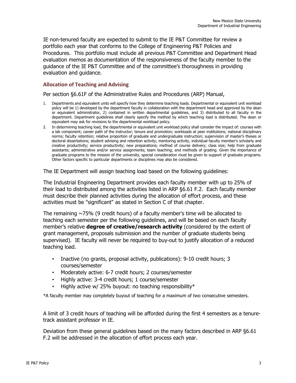IE non-tenured faculty are expected to submit to the IE P&T Committee for review a portfolio each year that conforms to the College of Engineering P&T Policies and Procedures. This portfolio must include all previous P&T Committee and Department Head evaluation memos as documentation of the responsiveness of the faculty member to the guidance of the IE P&T Committee and of the committee's thoroughness in providing evaluation and guidance.

#### **Allocation of Teaching and Advising**

Per section §6.61F of the Administrative Rules and Procedures (ARP) Manual,

- 1. Departments and equivalent units will specify how they determine teaching loads. Departmental or equivalent unit workload policy will be 1) developed by the department faculty in collaboration with the department head and approved by the dean or equivalent administrator, 2) contained in written departmental guidelines, and 3) distributed to all faculty in the department. Department guidelines shall clearly specify the method by which teaching load is distributed. The dean or equivalent may ask for revisions to the departmental workload policy.
- 2. In determining teaching load, the departmental or equivalent unit workload policy shall consider the impact of: courses with a lab component; career path of the instructor; tenure and promotion; workloads at peer institutions; national disciplinary norms; faculty retention; relative proportion of graduate and undergraduate instruction; supervision of master's theses or doctoral dissertations; student advising and retention activity; mentoring activity, individual faculty member's scholarly and creative productivity; service productivity; new preparations; method of course delivery; class size; help from graduate assistants; administrative and/or service assignments; team teaching; and methods of grading. Given the importance of graduate programs to the mission of the university, special consideration must be given to support of graduate programs. Other factors specific to particular departments or disciplines may also be considered.

The IE Department will assign teaching load based on the following guidelines:

The Industrial Engineering Department provides each faculty member with up to 25% of their load to distributed among the activities listed in ARP §6.61 F.2. Each faculty member must describe their planned activities during the allocation of effort process, and these activities must be "significant" as stated in Section C of that chapter.

The remaining  $\sim$ 75% (9 credit hours) of a faculty member's time will be allocated to teaching each semester per the following guidelines, and will be based on each faculty member's relative **degree of creative/research activity** (considered by the extent of grant management, proposals submission and the number of graduate students being supervised). IE faculty will never be required to buy-out to justify allocation of a reduced teaching load.

- Inactive (no grants, proposal activity, publications): 9-10 credit hours; 3 courses/semester
- Moderately active: 6-7 credit hours; 2 courses/semester
- Highly active: 3-4 credit hours; 1 course/semester
- Highly active w/ 25% buyout: no teaching responsibility\*

\*A faculty member may completely buyout of teaching for a maximum of two consecutive semesters.

A limit of 3 credit hours of teaching will be afforded during the first 4 semesters as a tenuretrack assistant professor in IE.

Deviation from these general guidelines based on the many factors described in ARP §6.61 F.2 will be addressed in the allocation of effort process each year.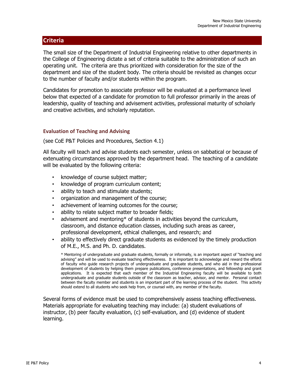# **Criteria**

The small size of the Department of Industrial Engineering relative to other departments in the College of Engineering dictate a set of criteria suitable to the administration of such an operating unit. The criteria are thus prioritized with consideration for the size of the department and size of the student body. The criteria should be revisited as changes occur to the number of faculty and/or students within the program.

Candidates for promotion to associate professor will be evaluated at a performance level below that expected of a candidate for promotion to full professor primarily in the areas of leadership, quality of teaching and advisement activities, professional maturity of scholarly and creative activities, and scholarly reputation.

#### **Evaluation of Teaching and Advising**

(see CoE P&T Policies and Procedures, Section 4.1)

All faculty will teach and advise students each semester, unless on sabbatical or because of extenuating circumstances approved by the department head. The teaching of a candidate will be evaluated by the following criteria:

- knowledge of course subject matter;
- knowledge of program curriculum content;
- ability to teach and stimulate students;
- organization and management of the course;
- achievement of learning outcomes for the course;
- ability to relate subject matter to broader fields;
- advisement and mentoring\* of students in activities beyond the curriculum, classroom, and distance education classes, including such areas as career, professional development, ethical challenges, and research; and
- ability to effectively direct graduate students as evidenced by the timely production of M.E., M.S. and Ph. D. candidates.

\* Mentoring of undergraduate and graduate students, formally or informally, is an important aspect of "teaching and advising" and will be used to evaluate teaching effectiveness. It is important to acknowledge and reward the efforts of faculty who guide research projects of undergraduate and graduate students, and who aid in the professional development of students by helping them prepare publications, conference presentations, and fellowship and grant applications. It is expected that each member of the Industrial Engineering faculty will be available to both undergraduate and graduate students outside of the classroom as teacher, advisor, and mentor. Personal contact between the faculty member and students is an important part of the learning process of the student. This activity should extend to all students who seek help from, or counsel with, any member of the faculty.

Several forms of evidence must be used to comprehensively assess teaching effectiveness. Materials appropriate for evaluating teaching may include: (a) student evaluations of instructor, (b) peer faculty evaluation, (c) self-evaluation, and (d) evidence of student learning.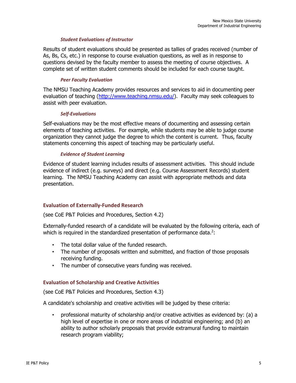#### *Student Evaluations of Instructor*

Results of student evaluations should be presented as tallies of grades received (number of As, Bs, Cs, etc.) in response to course evaluation questions, as well as in response to questions devised by the faculty member to assess the meeting of course objectives. A complete set of written student comments should be included for each course taught.

#### *Peer Faculty Evaluation*

The NMSU Teaching Academy provides resources and services to aid in documenting peer evaluation of teaching (http://www.teaching.nmsu.edu/). Faculty may seek colleagues to assist with peer evaluation.

#### *Self‐Evaluations*

Self-evaluations may be the most effective means of documenting and assessing certain elements of teaching activities. For example, while students may be able to judge course organization they cannot judge the degree to which the content is current. Thus, faculty statements concerning this aspect of teaching may be particularly useful.

#### *Evidence of Student Learning*

Evidence of student learning includes results of assessment activities. This should include evidence of indirect (e.g. surveys) and direct (e.g. Course Assessment Records) student learning. The NMSU Teaching Academy can assist with appropriate methods and data presentation.

#### **Evaluation of Externally‐Funded Research**

(see CoE P&T Policies and Procedures, Section 4.2)

Externally-funded research of a candidate will be evaluated by the following criteria, each of which is required in the standardized presentation of performance data. $2$ :

- The total dollar value of the funded research.
- The number of proposals written and submitted, and fraction of those proposals receiving funding.
- The number of consecutive years funding was received.

#### **Evaluation of Scholarship and Creative Activities**

(see CoE P&T Policies and Procedures, Section 4.3)

A candidate's scholarship and creative activities will be judged by these criteria:

• professional maturity of scholarship and/or creative activities as evidenced by: (a) a high level of expertise in one or more areas of industrial engineering; and (b) an ability to author scholarly proposals that provide extramural funding to maintain research program viability;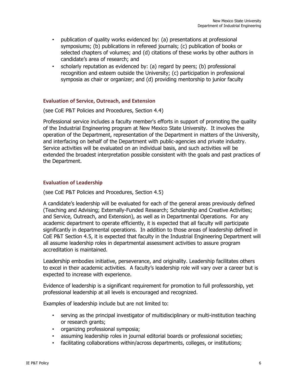- publication of quality works evidenced by: (a) presentations at professional symposiums; (b) publications in refereed journals; (c) publication of books or selected chapters of volumes; and (d) citations of these works by other authors in candidate's area of research; and
- scholarly reputation as evidenced by: (a) regard by peers; (b) professional recognition and esteem outside the University; (c) participation in professional symposia as chair or organizer; and (d) providing mentorship to junior faculty

#### **Evaluation of Service, Outreach, and Extension**

(see CoE P&T Policies and Procedures, Section 4.4)

Professional service includes a faculty member's efforts in support of promoting the quality of the Industrial Engineering program at New Mexico State University. It involves the operation of the Department, representation of the Department in matters of the University, and interfacing on behalf of the Department with public-agencies and private industry. Service activities will be evaluated on an individual basis, and such activities will be extended the broadest interpretation possible consistent with the goals and past practices of the Department.

#### **Evaluation of Leadership**

(see CoE P&T Policies and Procedures, Section 4.5)

A candidate's leadership will be evaluated for each of the general areas previously defined (Teaching and Advising; Externally-Funded Research; Scholarship and Creative Activities; and Service, Outreach, and Extension), as well as in Departmental Operations. For any academic department to operate efficiently, it is expected that all faculty will participate significantly in departmental operations. In addition to those areas of leadership defined in CoE P&T Section 4.5, it is expected that faculty in the Industrial Engineering Department will all assume leadership roles in departmental assessment activities to assure program accreditation is maintained.

Leadership embodies initiative, perseverance, and originality. Leadership facilitates others to excel in their academic activities. A faculty's leadership role will vary over a career but is expected to increase with experience.

Evidence of leadership is a significant requirement for promotion to full professorship, yet professional leadership at all levels is encouraged and recognized.

Examples of leadership include but are not limited to:

- serving as the principal investigator of multidisciplinary or multi-institution teaching or research grants;
- organizing professional symposia;
- assuming leadership roles in journal editorial boards or professional societies;
- facilitating collaborations within/across departments, colleges, or institutions;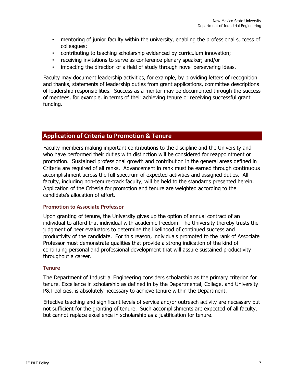- mentoring of junior faculty within the university, enabling the professional success of colleagues;
- contributing to teaching scholarship evidenced by curriculum innovation;
- receiving invitations to serve as conference plenary speaker; and/or
- impacting the direction of a field of study through novel persevering ideas.

Faculty may document leadership activities, for example, by providing letters of recognition and thanks, statements of leadership duties from grant applications, committee descriptions of leadership responsibilities. Success as a mentor may be documented through the success of mentees, for example, in terms of their achieving tenure or receiving successful grant funding.

# **Application of Criteria to Promotion & Tenure**

Faculty members making important contributions to the discipline and the University and who have performed their duties with distinction will be considered for reappointment or promotion. Sustained professional growth and contribution in the general areas defined in Criteria are required of all ranks. Advancement in rank must be earned through continuous accomplishment across the full spectrum of expected activities and assigned duties. All faculty, including non-tenure-track faculty, will be held to the standards presented herein. Application of the Criteria for promotion and tenure are weighted according to the candidate's allocation of effort.

#### **Promotion to Associate Professor**

Upon granting of tenure, the University gives up the option of annual contract of an individual to afford that individual with academic freedom. The University thereby trusts the judgment of peer evaluators to determine the likelihood of continued success and productivity of the candidate. For this reason, individuals promoted to the rank of Associate Professor must demonstrate qualities that provide a strong indication of the kind of continuing personal and professional development that will assure sustained productivity throughout a career.

#### **Tenure**

The Department of Industrial Engineering considers scholarship as the primary criterion for tenure. Excellence in scholarship as defined in by the Departmental, College, and University P&T policies, is absolutely necessary to achieve tenure within the Department.

Effective teaching and significant levels of service and/or outreach activity are necessary but not sufficient for the granting of tenure. Such accomplishments are expected of all faculty, but cannot replace excellence in scholarship as a justification for tenure.